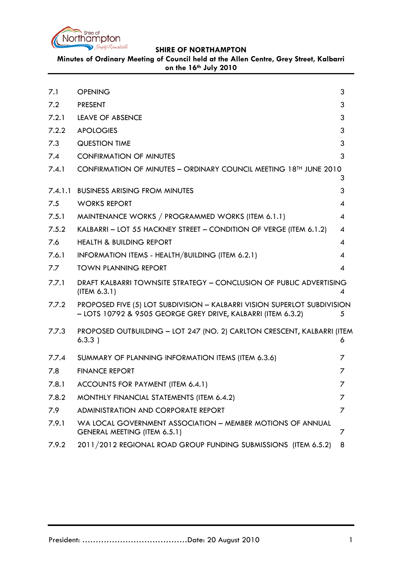

**Minutes of Ordinary Meeting of Council held at the Allen Centre, Grey Street, Kalbarri on the 16th July 2010**

<span id="page-0-0"></span>

| 7.1     | <b>OPENING</b>                                                                                                                           | 3 |
|---------|------------------------------------------------------------------------------------------------------------------------------------------|---|
| 7.2     | <b>PRESENT</b>                                                                                                                           | 3 |
| 7.2.1   | <b>LEAVE OF ABSENCE</b>                                                                                                                  | 3 |
| 7.2.2   | <b>APOLOGIES</b>                                                                                                                         | 3 |
| 7.3     | <b>QUESTION TIME</b>                                                                                                                     | 3 |
| 7.4     | <b>CONFIRMATION OF MINUTES</b>                                                                                                           | 3 |
| 7.4.1   | CONFIRMATION OF MINUTES - ORDINARY COUNCIL MEETING 18 <sup>TH</sup> JUNE 2010                                                            | 3 |
| 7.4.1.1 | <b>BUSINESS ARISING FROM MINUTES</b>                                                                                                     | 3 |
| 7.5     | <b>WORKS REPORT</b>                                                                                                                      | 4 |
| 7.5.1   | MAINTENANCE WORKS / PROGRAMMED WORKS (ITEM 6.1.1)                                                                                        | 4 |
| 7.5.2   | KALBARRI - LOT 55 HACKNEY STREET - CONDITION OF VERGE (ITEM 6.1.2)                                                                       | 4 |
| 7.6     | <b>HEALTH &amp; BUILDING REPORT</b>                                                                                                      | 4 |
| 7.6.1   | INFORMATION ITEMS - HEALTH/BUILDING (ITEM 6.2.1)                                                                                         | 4 |
| 7.7     | <b>TOWN PLANNING REPORT</b>                                                                                                              | 4 |
| 7.7.1   | DRAFT KALBARRI TOWNSITE STRATEGY - CONCLUSION OF PUBLIC ADVERTISING<br>(IFEM 6.3.1)                                                      | 4 |
| 7.7.2   | PROPOSED FIVE (5) LOT SUBDIVISION - KALBARRI VISION SUPERLOT SUBDIVISION<br>- LOTS 10792 & 9505 GEORGE GREY DRIVE, KALBARRI (ITEM 6.3.2) | 5 |
| 7.7.3   | PROPOSED OUTBUILDING - LOT 247 (NO. 2) CARLTON CRESCENT, KALBARRI (ITEM<br>6.3.3)                                                        | 6 |
| 7.7.4   | SUMMARY OF PLANNING INFORMATION ITEMS (ITEM 6.3.6)                                                                                       | 7 |
| 7.8     | <b>FINANCE REPORT</b>                                                                                                                    | 7 |
| 7.8.1   | ACCOUNTS FOR PAYMENT (ITEM 6.4.1)                                                                                                        | 7 |
| 7.8.2   | MONTHLY FINANCIAL STATEMENTS (ITEM 6.4.2)                                                                                                | 7 |
| 7.9     | ADMINISTRATION AND CORPORATE REPORT                                                                                                      | 7 |
| 7.9.1   | WA LOCAL GOVERNMENT ASSOCIATION - MEMBER MOTIONS OF ANNUAL<br>GENERAL MEETING (ITEM 6.5.1)                                               | 7 |
| 7.9.2   | 2011/2012 REGIONAL ROAD GROUP FUNDING SUBMISSIONS (ITEM 6.5.2)                                                                           | 8 |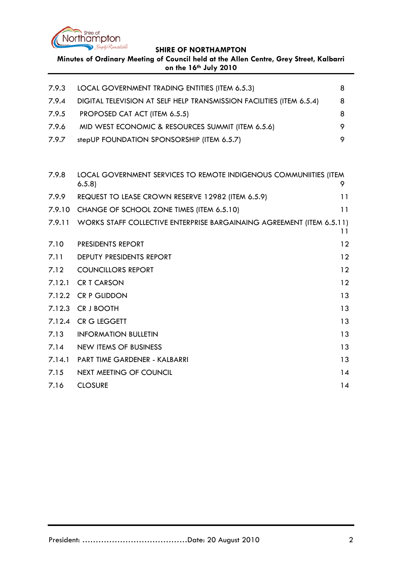

**Minutes of Ordinary Meeting of Council held at the Allen Centre, Grey Street, Kalbarri on the 16th July 2010**

| 7.9.3 | LOCAL GOVERNMENT TRADING ENTITIES (ITEM 6.5.3)                       |   |
|-------|----------------------------------------------------------------------|---|
| 7.9.4 | DIGITAL TELEVISION AT SELF HELP TRANSMISSION FACILITIES (ITEM 6.5.4) | 8 |
| 7.9.5 | PROPOSED CAT ACT (ITEM 6.5.5)                                        |   |
| 7.9.6 | MID WEST ECONOMIC & RESOURCES SUMMIT (ITEM 6.5.6)                    |   |
| 7.9.7 | stepUP FOUNDATION SPONSORSHIP (ITEM 6.5.7)                           |   |

| 7.9.8  | LOCAL GOVERNMENT SERVICES TO REMOTE INDIGENOUS COMMUNIITIES (ITEM<br>6.5.8 | 9. |
|--------|----------------------------------------------------------------------------|----|
| 7.9.9  | REQUEST TO LEASE CROWN RESERVE 12982 (ITEM 6.5.9)                          | 11 |
| 7.9.10 | CHANGE OF SCHOOL ZONE TIMES (ITEM 6.5.10)                                  | 11 |
| 7.9.11 | WORKS STAFF COLLECTIVE ENTERPRISE BARGAINAING AGREEMENT (ITEM 6.5.11)      | 11 |
| 7.10   | PRESIDENTS REPORT                                                          | 12 |
| 7.11   | DEPUTY PRESIDENTS REPORT                                                   | 12 |
| 7.12   | <b>COUNCILLORS REPORT</b>                                                  | 12 |
|        | 7.12.1 CR T CARSON                                                         | 12 |
|        | 7.12.2 CR P GLIDDON                                                        | 13 |
|        | 7.12.3 CR J BOOTH                                                          | 13 |
| 7.12.4 | CR G LEGGETT                                                               | 13 |
| 7.13   | <b>INFORMATION BULLETIN</b>                                                | 13 |
| 7.14   | <b>NEW ITEMS OF BUSINESS</b>                                               | 13 |
| 7.14.1 | <b>PART TIME GARDENER - KALBARRI</b>                                       | 13 |
| 7.15   | NEXT MEETING OF COUNCIL                                                    | 14 |
| 7.16   | <b>CLOSURE</b>                                                             | 14 |
|        |                                                                            |    |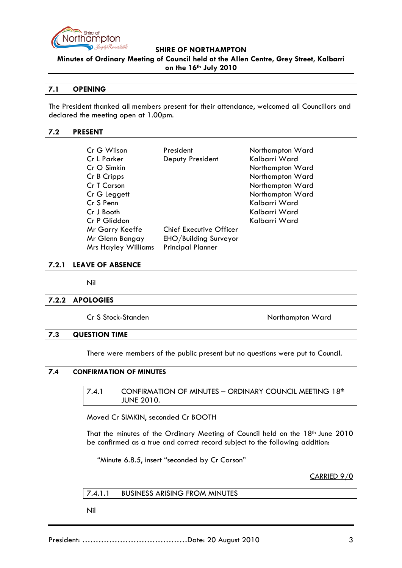

**Minutes of Ordinary Meeting of Council held at the Allen Centre, Grey Street, Kalbarri on the 16th July 2010**

## **7.1 OPENING**

The President thanked all members present for their attendance, welcomed all Councillors and declared the meeting open at 1.00pm.

# <span id="page-2-0"></span>**7.2 PRESENT**

| Cr G Wilson                | President                | Northampton Ward |
|----------------------------|--------------------------|------------------|
| <b>Cr L Parker</b>         | Deputy President         | Kalbarri Ward    |
| Cr O Simkin                |                          | Northampton Ward |
| Cr B Cripps                |                          | Northampton Ward |
| Cr T Carson                |                          | Northampton Ward |
| Cr G Leggett               |                          | Northampton Ward |
| Cr S Penn                  |                          | Kalbarri Ward    |
| $Cr \perp$ Booth           |                          | Kalbarri Ward    |
| Cr P Gliddon               |                          | Kalbarri Ward    |
| Mr Garry Keeffe            | Chief Executive Officer  |                  |
| Mr Glenn Bangay            | EHO/Building Surveyor    |                  |
| <b>Mrs Hayley Williams</b> | <b>Principal Planner</b> |                  |

## <span id="page-2-1"></span>**7.2.1 LEAVE OF ABSENCE**

Nil

### <span id="page-2-2"></span>**7.2.2 APOLOGIES**

Cr S Stock-Standen Northampton Ward

### <span id="page-2-3"></span>**7.3 QUESTION TIME**

There were members of the public present but no questions were put to Council.

### <span id="page-2-5"></span><span id="page-2-4"></span>**7.4 CONFIRMATION OF MINUTES**

7.4.1 CONFIRMATION OF MINUTES - ORDINARY COUNCIL MEETING 18<sup>th</sup> JUNE 2010.

Moved Cr SIMKIN, seconded Cr BOOTH

That the minutes of the Ordinary Meeting of Council held on the 18<sup>th</sup> June 2010 be confirmed as a true and correct record subject to the following addition:

"Minute 6.8.5, insert "seconded by Cr Carson"

# CARRIED 9/0

### <span id="page-2-6"></span>7.4.1.1 BUSINESS ARISING FROM MINUTES

Nil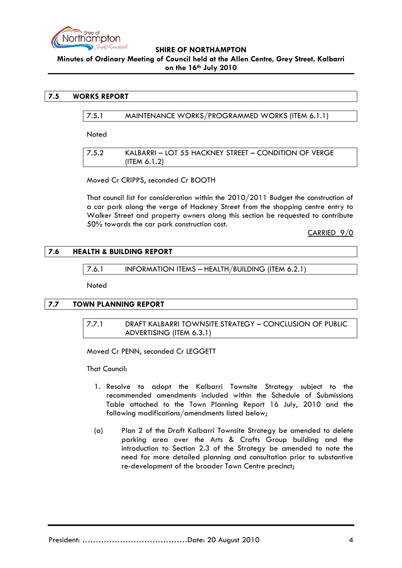

**Minutes of Ordinary Meeting of Council held at the Allen Centre, Grey Street, Kalbarri on the 16th July 2010**

# **7.5 WORKS REPORT**

7.5.1 MAINTENANCE WORKS/PROGRAMMED WORKS (ITEM 6.1.1)

**Noted** 

| 7.5.2 | KALBARRI – LOT 55 HACKNEY STREET – CONDITION OF VERGE |
|-------|-------------------------------------------------------|
|       | (ITER 6.1.2)                                          |

Moved Cr CRIPPS, seconded Cr BOOTH

That council list for consideration within the 2010/2011 Budget the construction of a car park along the verge of Hackney Street from the shopping centre entry to Walker Street and property owners along this section be requested to contribute 50% towards the car park construction cost.

CARRIED 9/0

## **7.6 HEALTH & BUILDING REPORT**

7.6.1 INFORMATION ITEMS – HEALTH/BUILDING (ITEM 6.2.1)

Noted

# **7.7 TOWN PLANNING REPORT**

# 7.7.1 DRAFT KALBARRI TOWNSITE STRATEGY – CONCLUSION OF PUBLIC ADVERTISING (ITEM 6.3.1)

Moved Cr PENN, seconded Cr LEGGETT

That Council:

- 1. Resolve to adopt the Kalbarri Townsite Strategy subject to the recommended amendments included within the Schedule of Submissions Table attached to the Town Planning Report 16 July, 2010 and the following modifications/amendments listed below;
- (a) Plan 2 of the Draft Kalbarri Townsite Strategy be amended to delete parking area over the Arts & Crafts Group building and the introduction to Section 2.3 of the Strategy be amended to note the need for more detailed planning and consultation prior to substantive re-development of the broader Town Centre precinct;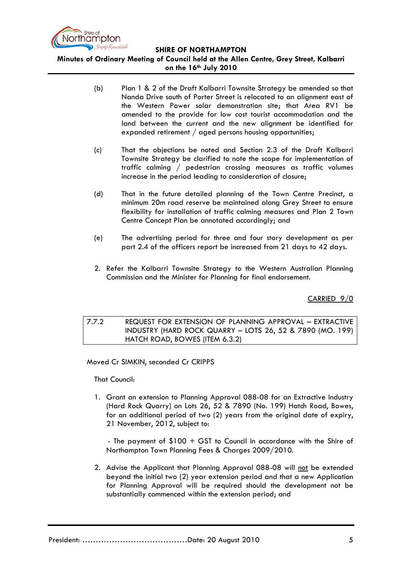

**Minutes of Ordinary Meeting of Council held at the Allen Centre, Grey Street, Kalbarri on the 16th July 2010**

- (b) Plan 1 & 2 of the Draft Kalbarri Townsite Strategy be amended so that Nanda Drive south of Porter Street is relocated to an alignment east of the Western Power solar demonstration site; that Area RV1 be amended to the provide for low cost tourist accommodation and the land between the current and the new alignment be identified for expanded retirement / aged persons housing opportunities;
- (c) That the objections be noted and Section 2.3 of the Draft Kalbarri Townsite Strategy be clarified to note the scope for implementation of traffic calming / pedestrian crossing measures as traffic volumes increase in the period leading to consideration of closure;
- (d) That in the future detailed planning of the Town Centre Precinct, a minimum 20m road reserve be maintained along Grey Street to ensure flexibility for installation of traffic calming measures and Plan 2 Town Centre Concept Plan be annotated accordingly; and
- (e) The advertising period for three and four story development as per part 2.4 of the officers report be increased from 21 days to 42 days.
- 2. Refer the Kalbarri Townsite Strategy to the Western Australian Planning Commission and the Minister for Planning for final endorsement.

CARRIED 9/0

7.7.2 REQUEST FOR EXTENSION OF PLANNING APPROVAL – EXTRACTIVE INDUSTRY (HARD ROCK QUARRY – LOTS 26, 52 & 7890 (MO. 199) HATCH ROAD, BOWES (ITEM 6.3.2)

Moved Cr SIMKIN, seconded Cr CRIPPS

That Council:

1. Grant an extension to Planning Approval 088-08 for an Extractive Industry (Hard Rock Quarry) on Lots 26, 52 & 7890 (No. 199) Hatch Road, Bowes, for an additional period of two (2) years from the original date of expiry, 21 November, 2012, subject to:

 - The payment of \$100 + GST to Council in accordance with the Shire of Northampton Town Planning Fees & Charges 2009/2010.

2. Advise the Applicant that Planning Approval 088-08 will not be extended beyond the initial two (2) year extension period and that a new Application for Planning Approval will be required should the development not be substantially commenced within the extension period; and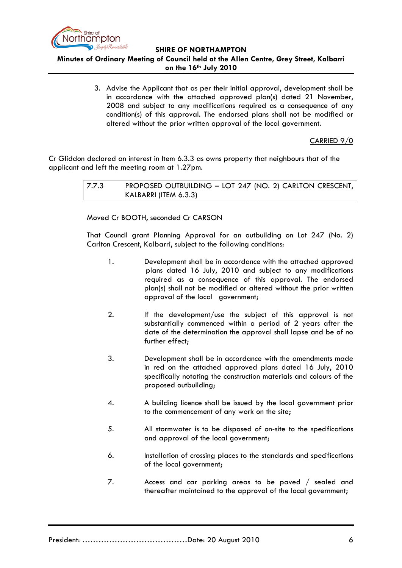

# **Minutes of Ordinary Meeting of Council held at the Allen Centre, Grey Street, Kalbarri on the 16th July 2010**

3. Advise the Applicant that as per their initial approval, development shall be in accordance with the attached approved plan(s) dated 21 November, 2008 and subject to any modifications required as a consequence of any condition(s) of this approval. The endorsed plans shall not be modified or altered without the prior written approval of the local government.

# CARRIED 9/0

Cr Gliddon declared an interest in Item 6.3.3 as owns property that neighbours that of the applicant and left the meeting room at 1.27pm.

> 7.7.3 PROPOSED OUTBUILDING – LOT 247 (NO. 2) CARLTON CRESCENT, KALBARRI (ITEM 6.3.3)

Moved Cr BOOTH, seconded Cr CARSON

That Council grant Planning Approval for an outbuilding on Lot 247 (No. 2) Carlton Crescent, Kalbarri, subject to the following conditions:

- 1. Development shall be in accordance with the attached approved plans dated 16 July, 2010 and subject to any modifications required as a consequence of this approval. The endorsed plan(s) shall not be modified or altered without the prior written approval of the local government;
- 2. If the development/use the subject of this approval is not substantially commenced within a period of 2 years after the date of the determination the approval shall lapse and be of no further effect;
- 3. Development shall be in accordance with the amendments made in red on the attached approved plans dated 16 July, 2010 specifically notating the construction materials and colours of the proposed outbuilding;
- 4. A building licence shall be issued by the local government prior to the commencement of any work on the site;
- 5. All stormwater is to be disposed of on-site to the specifications and approval of the local government;
- 6. Installation of crossing places to the standards and specifications of the local government;
- 7. Access and car parking areas to be paved / sealed and thereafter maintained to the approval of the local government;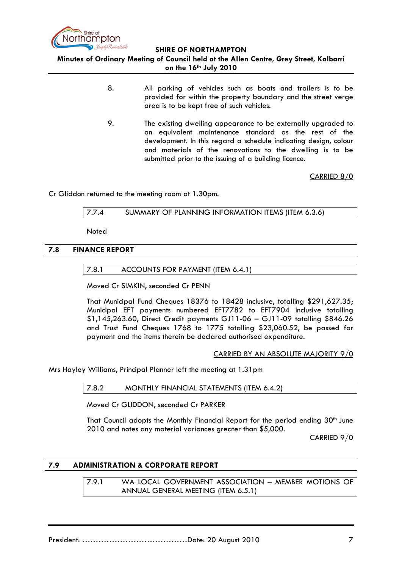

**Minutes of Ordinary Meeting of Council held at the Allen Centre, Grey Street, Kalbarri on the 16th July 2010**

- 8. All parking of vehicles such as boats and trailers is to be provided for within the property boundary and the street verge area is to be kept free of such vehicles.
- 9. The existing dwelling appearance to be externally upgraded to an equivalent maintenance standard as the rest of the development. In this regard a schedule indicating design, colour and materials of the renovations to the dwelling is to be submitted prior to the issuing of a building licence.

CARRIED 8/0

Cr Gliddon returned to the meeting room at 1.30pm.

7.7.4 SUMMARY OF PLANNING INFORMATION ITEMS (ITEM 6.3.6)

Noted

## **7.8 FINANCE REPORT**

7.8.1 ACCOUNTS FOR PAYMENT (ITEM 6.4.1)

Moved Cr SIMKIN, seconded Cr PENN

That Municipal Fund Cheques 18376 to 18428 inclusive, totalling \$291,627.35; Municipal EFT payments numbered EFT7782 to EFT7904 inclusive totalling \$1,145,263.60, Direct Credit payments GJ11-06 – GJ11-09 totalling \$846.26 and Trust Fund Cheques 1768 to 1775 totalling \$23,060.52, be passed for payment and the items therein be declared authorised expenditure.

CARRIED BY AN ABSOLUTE MAJORITY 9/0

Mrs Hayley Williams, Principal Planner left the meeting at 1.31pm

7.8.2 MONTHLY FINANCIAL STATEMENTS (ITEM 6.4.2)

Moved Cr GLIDDON, seconded Cr PARKER

That Council adopts the Monthly Financial Report for the period ending 30<sup>th</sup> June 2010 and notes any material variances greater than \$5,000.

CARRIED 9/0

# **7.9 ADMINISTRATION & CORPORATE REPORT**

7.9.1 WA LOCAL GOVERNMENT ASSOCIATION – MEMBER MOTIONS OF ANNUAL GENERAL MEETING (ITEM 6.5.1)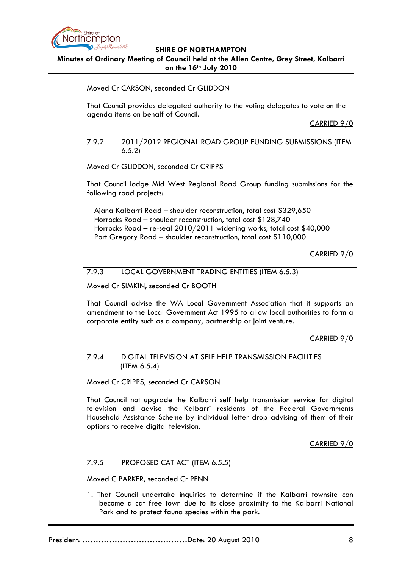

**Minutes of Ordinary Meeting of Council held at the Allen Centre, Grey Street, Kalbarri on the 16th July 2010**

## Moved Cr CARSON, seconded Cr GLIDDON

That Council provides delegated authority to the voting delegates to vote on the agenda items on behalf of Council.

CARRIED 9/0

7.9.2 2011/2012 REGIONAL ROAD GROUP FUNDING SUBMISSIONS (ITEM 6.5.2)

Moved Cr GLIDDON, seconded Cr CRIPPS

That Council lodge Mid West Regional Road Group funding submissions for the following road projects:

Ajana Kalbarri Road – shoulder reconstruction, total cost \$329,650 Horrocks Road – shoulder reconstruction, total cost \$128,740 Horrocks Road – re-seal 2010/2011 widening works, total cost \$40,000 Port Gregory Road – shoulder reconstruction, total cost \$110,000

CARRIED 9/0

#### 7.9.3 LOCAL GOVERNMENT TRADING ENTITIES (ITEM 6.5.3)

Moved Cr SIMKIN, seconded Cr BOOTH

That Council advise the WA Local Government Association that it supports an amendment to the Local Government Act 1995 to allow local authorities to form a corporate entity such as a company, partnership or joint venture.

CARRIED 9/0

7.9.4 DIGITAL TELEVISION AT SELF HELP TRANSMISSION FACILITIES (ITEM 6.5.4)

Moved Cr CRIPPS, seconded Cr CARSON

That Council not upgrade the Kalbarri self help transmission service for digital television and advise the Kalbarri residents of the Federal Governments Household Assistance Scheme by individual letter drop advising of them of their options to receive digital television.

CARRIED 9/0

## 7.9.5 PROPOSED CAT ACT (ITEM 6.5.5)

Moved C PARKER, seconded Cr PENN

1. That Council undertake inquiries to determine if the Kalbarri townsite can become a cat free town due to its close proximity to the Kalbarri National Park and to protect fauna species within the park.

President: …………………………………Date: 20 August 2010 8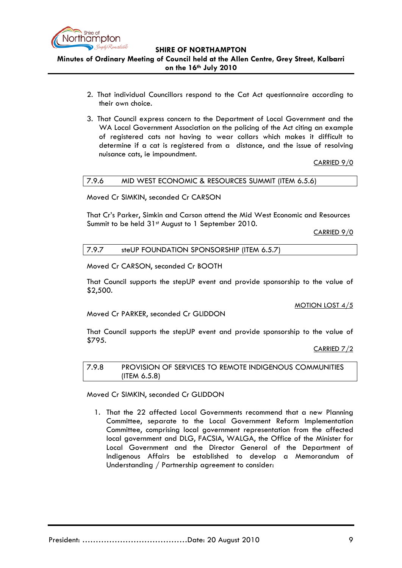

**Minutes of Ordinary Meeting of Council held at the Allen Centre, Grey Street, Kalbarri on the 16th July 2010**

- 2. That individual Councillors respond to the Cat Act questionnaire according to their own choice.
- 3. That Council express concern to the Department of Local Government and the WA Local Government Association on the policing of the Act citing an example of registered cats not having to wear collars which makes it difficult to determine if a cat is registered from a distance, and the issue of resolving nuisance cats, ie impoundment.

CARRIED 9/0

### 7.9.6 MID WEST ECONOMIC & RESOURCES SUMMIT (ITEM 6.5.6)

Moved Cr SIMKIN, seconded Cr CARSON

That Cr's Parker, Simkin and Carson attend the Mid West Economic and Resources Summit to be held 31<sup>st</sup> August to 1 September 2010.

CARRIED 9/0

#### 7.9.7 steUP FOUNDATION SPONSORSHIP (ITEM 6.5.7)

Moved Cr CARSON, seconded Cr BOOTH

That Council supports the stepUP event and provide sponsorship to the value of \$2,500.

MOTION LOST 4/5

#### Moved Cr PARKER, seconded Cr GLIDDON

That Council supports the stepUP event and provide sponsorship to the value of \$795.

CARRIED 7/2

7.9.8 PROVISION OF SERVICES TO REMOTE INDIGENOUS COMMUNITIES (ITEM 6.5.8)

Moved Cr SIMKIN, seconded Cr GLIDDON

1. That the 22 affected Local Governments recommend that a new Planning Committee, separate to the Local Government Reform Implementation Committee, comprising local government representation from the affected local government and DLG, FACSIA, WALGA, the Office of the Minister for Local Government and the Director General of the Department of Indigenous Affairs be established to develop a Memorandum of Understanding / Partnership agreement to consider: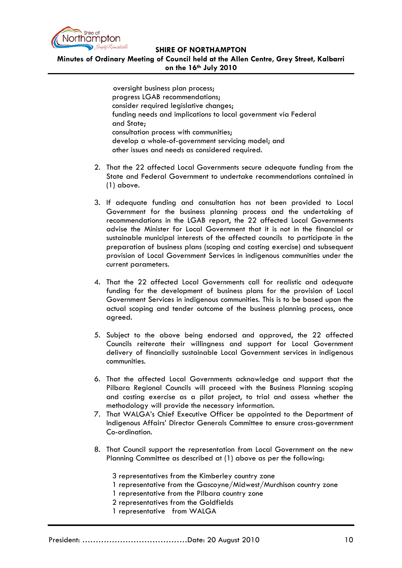

**Minutes of Ordinary Meeting of Council held at the Allen Centre, Grey Street, Kalbarri on the 16th July 2010**

> oversight business plan process; progress LGAB recommendations; consider required legislative changes; funding needs and implications to local government via Federal and State; consultation process with communities; develop a whole-of-government servicing model; and other issues and needs as considered required.

- 2. That the 22 affected Local Governments secure adequate funding from the State and Federal Government to undertake recommendations contained in (1) above.
- 3. If adequate funding and consultation has not been provided to Local Government for the business planning process and the undertaking of recommendations in the LGAB report, the 22 affected Local Governments advise the Minister for Local Government that it is not in the financial or sustainable municipal interests of the affected councils to participate in the preparation of business plans (scoping and costing exercise) and subsequent provision of Local Government Services in indigenous communities under the current parameters.
- 4. That the 22 affected Local Governments call for realistic and adequate funding for the development of business plans for the provision of Local Government Services in indigenous communities. This is to be based upon the actual scoping and tender outcome of the business planning process, once agreed.
- 5. Subject to the above being endorsed and approved, the 22 affected Councils reiterate their willingness and support for Local Government delivery of financially sustainable Local Government services in indigenous communities.
- 6. That the affected Local Governments acknowledge and support that the Pilbara Regional Councils will proceed with the Business Planning scoping and costing exercise as a pilot project, to trial and assess whether the methodology will provide the necessary information.
- 7. That WALGA's Chief Executive Officer be appointed to the Department of Indigenous Affairs' Director Generals Committee to ensure cross-government Co-ordination.
- 8. That Council support the representation from Local Government on the new Planning Committee as described at (1) above as per the following:
	- 3 representatives from the Kimberley country zone
	- 1 representative from the Gascoyne/Midwest/Murchison country zone
	- 1 representative from the Pilbara country zone
	- 2 representatives from the Goldfields
	- 1 representative from WALGA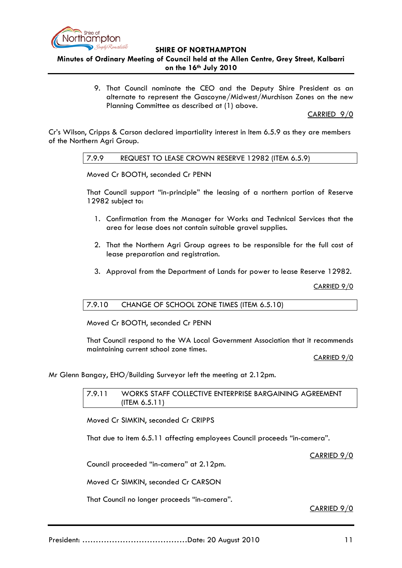

**Minutes of Ordinary Meeting of Council held at the Allen Centre, Grey Street, Kalbarri on the 16th July 2010**

> 9. That Council nominate the CEO and the Deputy Shire President as an alternate to represent the Gascoyne/Midwest/Murchison Zones on the new Planning Committee as described at (1) above.

> > CARRIED 9/0

Cr's Wilson, Cripps & Carson declared impartiality interest in Item 6.5.9 as they are members of the Northern Agri Group.

7.9.9 REQUEST TO LEASE CROWN RESERVE 12982 (ITEM 6.5.9)

Moved Cr BOOTH, seconded Cr PENN

That Council support "in-principle" the leasing of a northern portion of Reserve 12982 subject to:

- 1. Confirmation from the Manager for Works and Technical Services that the area for lease does not contain suitable gravel supplies.
- 2. That the Northern Agri Group agrees to be responsible for the full cost of lease preparation and registration.
- 3. Approval from the Department of Lands for power to lease Reserve 12982.

CARRIED 9/0

### 7.9.10 CHANGE OF SCHOOL ZONE TIMES (ITEM 6.5.10)

Moved Cr BOOTH, seconded Cr PENN

That Council respond to the WA Local Government Association that it recommends maintaining current school zone times.

CARRIED 9/0

Mr Glenn Bangay, EHO/Building Surveyor left the meeting at 2.12pm.

7.9.11 WORKS STAFF COLLECTIVE ENTERPRISE BARGAINING AGREEMENT (ITEM 6.5.11)

Moved Cr SIMKIN, seconded Cr CRIPPS

That due to item 6.5.11 affecting employees Council proceeds "in-camera".

CARRIED 9/0

Council proceeded "in-camera" at 2.12pm.

Moved Cr SIMKIN, seconded Cr CARSON

That Council no longer proceeds "in-camera".

CARRIED 9/0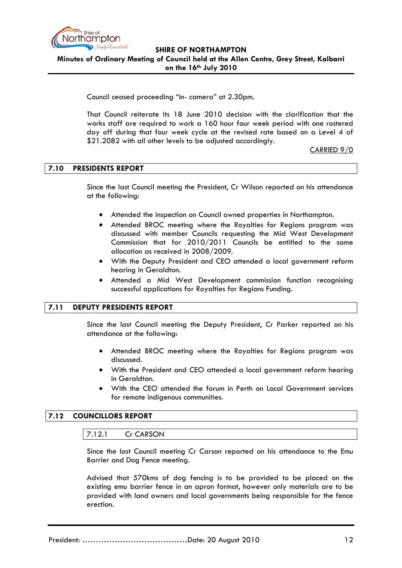

# **SHIRE OF NORTHAMPTON Minutes of Ordinary Meeting of Council held at the Allen Centre, Grey Street, Kalbarri on the 16th July 2010**

Council ceased proceeding "in- camera" at 2.30pm.

That Council reiterate its 18 June 2010 decision with the clarification that the works staff are required to work a 160 hour four week period with one rostered day off during that four week cycle at the revised rate based on a Level 4 of \$21.2082 with all other levels to be adjusted accordingly.

CARRIED 9/0

### **7.10 PRESIDENTS REPORT**

Since the last Council meeting the President, Cr Wilson reported on his attendance at the following:

- Attended the inspection on Council owned properties in Northampton.
- Attended BROC meeting where the Royalties for Regions program was discussed with member Councils requesting the Mid West Development Commission that for 2010/2011 Councils be entitled to the same allocation as received in 2008/2009.
- With the Deputy President and CEO attended a local government reform hearing in Geraldton.
- Attended a Mid West Development commission function recognising successful applications for Royalties for Regions Funding.

### **7.11 DEPUTY PRESIDENTS REPORT**

Since the last Council meeting the Deputy President, Cr Parker reported on his attendance at the following:

- Attended BROC meeting where the Royalties for Regions program was discussed.
- With the President and CEO attended a local government reform hearing in Geraldton.
- With the CEO attended the forum in Perth on Local Government services for remote indigenous communities.

# **7.12 COUNCILLORS REPORT**

### 7.12.1 Cr CARSON

Since the last Council meeting Cr Carson reported on his attendance to the Emu Barrier and Dog Fence meeting.

Advised that 570kms of dog fencing is to be provided to be placed on the existing emu barrier fence in an apron format, however only materials are to be provided with land owners and local governments being responsible for the fence erection.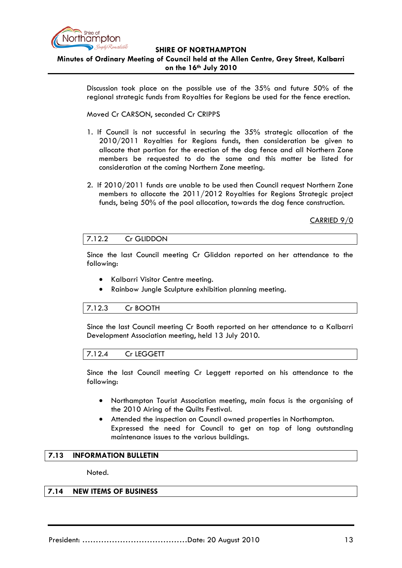

## **SHIRE OF NORTHAMPTON Minutes of Ordinary Meeting of Council held at the Allen Centre, Grey Street, Kalbarri on the 16th July 2010**

Discussion took place on the possible use of the 35% and future 50% of the regional strategic funds from Royalties for Regions be used for the fence erection.

Moved Cr CARSON, seconded Cr CRIPPS

- 1. If Council is not successful in securing the 35% strategic allocation of the 2010/2011 Royalties for Regions funds, then consideration be given to allocate that portion for the erection of the dog fence and all Northern Zone members be requested to do the same and this matter be listed for consideration at the coming Northern Zone meeting.
- 2. If 2010/2011 funds are unable to be used then Council request Northern Zone members to allocate the 2011/2012 Royalties for Regions Strategic project funds, being 50% of the pool allocation, towards the dog fence construction.

CARRIED 9/0

## 7.12.2 Cr GLIDDON

Since the last Council meeting Cr Gliddon reported on her attendance to the following:

- Kalbarri Visitor Centre meeting.
- Rainbow Jungle Sculpture exhibition planning meeting.

### 7.12.3 Cr BOOTH

Since the last Council meeting Cr Booth reported on her attendance to a Kalbarri Development Association meeting, held 13 July 2010.

#### 7.12.4 Cr LEGGETT

Since the last Council meeting Cr Leggett reported on his attendance to the following:

- Northampton Tourist Association meeting, main focus is the organising of the 2010 Airing of the Quilts Festival.
- Attended the inspection on Council owned properties in Northampton. Expressed the need for Council to get on top of long outstanding maintenance issues to the various buildings.

### **7.13 INFORMATION BULLETIN**

Noted.

### **7.14 NEW ITEMS OF BUSINESS**

President: …………………………………Date: 20 August 2010 13